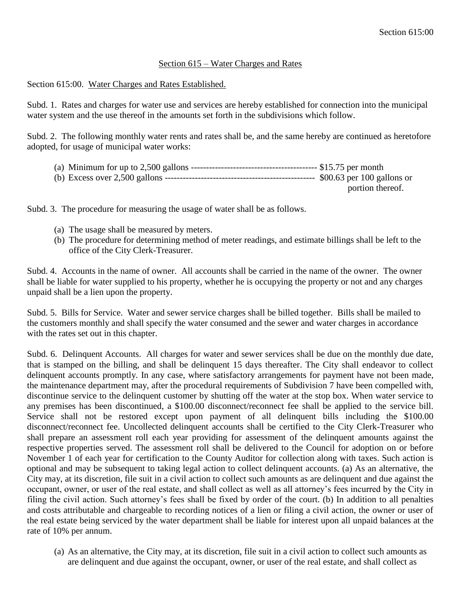## Section 615 – Water Charges and Rates

## Section 615:00. Water Charges and Rates Established.

Subd. 1. Rates and charges for water use and services are hereby established for connection into the municipal water system and the use thereof in the amounts set forth in the subdivisions which follow.

Subd. 2. The following monthly water rents and rates shall be, and the same hereby are continued as heretofore adopted, for usage of municipal water works:

| portion thereof. |
|------------------|

Subd. 3. The procedure for measuring the usage of water shall be as follows.

- (a) The usage shall be measured by meters.
- (b) The procedure for determining method of meter readings, and estimate billings shall be left to the office of the City Clerk-Treasurer.

Subd. 4. Accounts in the name of owner. All accounts shall be carried in the name of the owner. The owner shall be liable for water supplied to his property, whether he is occupying the property or not and any charges unpaid shall be a lien upon the property.

Subd. 5. Bills for Service. Water and sewer service charges shall be billed together. Bills shall be mailed to the customers monthly and shall specify the water consumed and the sewer and water charges in accordance with the rates set out in this chapter.

Subd. 6. Delinquent Accounts. All charges for water and sewer services shall be due on the monthly due date, that is stamped on the billing, and shall be delinquent 15 days thereafter. The City shall endeavor to collect delinquent accounts promptly. In any case, where satisfactory arrangements for payment have not been made, the maintenance department may, after the procedural requirements of Subdivision 7 have been compelled with, discontinue service to the delinquent customer by shutting off the water at the stop box. When water service to any premises has been discontinued, a \$100.00 disconnect/reconnect fee shall be applied to the service bill. Service shall not be restored except upon payment of all delinquent bills including the \$100.00 disconnect/reconnect fee. Uncollected delinquent accounts shall be certified to the City Clerk-Treasurer who shall prepare an assessment roll each year providing for assessment of the delinquent amounts against the respective properties served. The assessment roll shall be delivered to the Council for adoption on or before November 1 of each year for certification to the County Auditor for collection along with taxes. Such action is optional and may be subsequent to taking legal action to collect delinquent accounts. (a) As an alternative, the City may, at its discretion, file suit in a civil action to collect such amounts as are delinquent and due against the occupant, owner, or user of the real estate, and shall collect as well as all attorney's fees incurred by the City in filing the civil action. Such attorney's fees shall be fixed by order of the court. (b) In addition to all penalties and costs attributable and chargeable to recording notices of a lien or filing a civil action, the owner or user of the real estate being serviced by the water department shall be liable for interest upon all unpaid balances at the rate of 10% per annum.

(a) As an alternative, the City may, at its discretion, file suit in a civil action to collect such amounts as are delinquent and due against the occupant, owner, or user of the real estate, and shall collect as